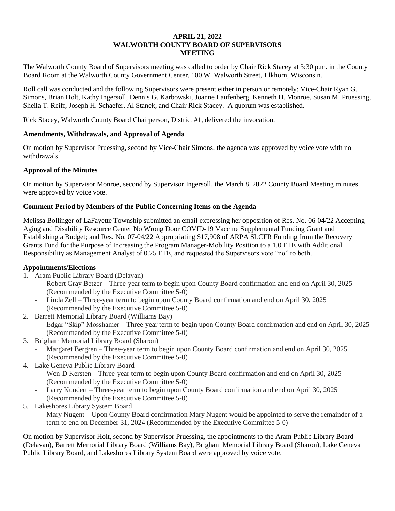## **APRIL 21, 2022 WALWORTH COUNTY BOARD OF SUPERVISORS MEETING**

The Walworth County Board of Supervisors meeting was called to order by Chair Rick Stacey at 3:30 p.m. in the County Board Room at the Walworth County Government Center, 100 W. Walworth Street, Elkhorn, Wisconsin.

Roll call was conducted and the following Supervisors were present either in person or remotely: Vice-Chair Ryan G. Simons, Brian Holt, Kathy Ingersoll, Dennis G. Karbowski, Joanne Laufenberg, Kenneth H. Monroe, Susan M. Pruessing, Sheila T. Reiff, Joseph H. Schaefer, Al Stanek, and Chair Rick Stacey. A quorum was established.

Rick Stacey, Walworth County Board Chairperson, District #1, delivered the invocation.

## **Amendments, Withdrawals, and Approval of Agenda**

On motion by Supervisor Pruessing, second by Vice-Chair Simons, the agenda was approved by voice vote with no withdrawals.

# **Approval of the Minutes**

On motion by Supervisor Monroe, second by Supervisor Ingersoll, the March 8, 2022 County Board Meeting minutes were approved by voice vote.

## **Comment Period by Members of the Public Concerning Items on the Agenda**

Melissa Bollinger of LaFayette Township submitted an email expressing her opposition of Res. No. 06-04/22 Accepting Aging and Disability Resource Center No Wrong Door COVID-19 Vaccine Supplemental Funding Grant and Establishing a Budget; and Res. No. 07-04/22 Appropriating \$17,908 of ARPA SLCFR Funding from the Recovery Grants Fund for the Purpose of Increasing the Program Manager-Mobility Position to a 1.0 FTE with Additional Responsibility as Management Analyst of 0.25 FTE, and requested the Supervisors vote "no" to both.

### **Appointments/Elections**

- 1. Aram Public Library Board (Delavan)
	- Robert Gray Betzer Three-year term to begin upon County Board confirmation and end on April 30, 2025 (Recommended by the Executive Committee 5-0)
	- Linda Zell Three-year term to begin upon County Board confirmation and end on April 30, 2025 (Recommended by the Executive Committee 5-0)
- 2. Barrett Memorial Library Board (Williams Bay)
	- Edgar "Skip" Mosshamer Three-year term to begin upon County Board confirmation and end on April 30, 2025 (Recommended by the Executive Committee 5-0)
- 3. Brigham Memorial Library Board (Sharon)
	- Margaret Bergren Three-year term to begin upon County Board confirmation and end on April 30, 2025 (Recommended by the Executive Committee 5-0)
- 4. Lake Geneva Public Library Board
	- Wen-D Kersten Three-year term to begin upon County Board confirmation and end on April 30, 2025 (Recommended by the Executive Committee 5-0)
	- Larry Kundert Three-year term to begin upon County Board confirmation and end on April 30, 2025 (Recommended by the Executive Committee 5-0)
- 5. Lakeshores Library System Board
	- Mary Nugent Upon County Board confirmation Mary Nugent would be appointed to serve the remainder of a term to end on December 31, 2024 (Recommended by the Executive Committee 5-0)

On motion by Supervisor Holt, second by Supervisor Pruessing, the appointments to the Aram Public Library Board (Delavan), Barrett Memorial Library Board (Williams Bay), Brigham Memorial Library Board (Sharon), Lake Geneva Public Library Board, and Lakeshores Library System Board were approved by voice vote.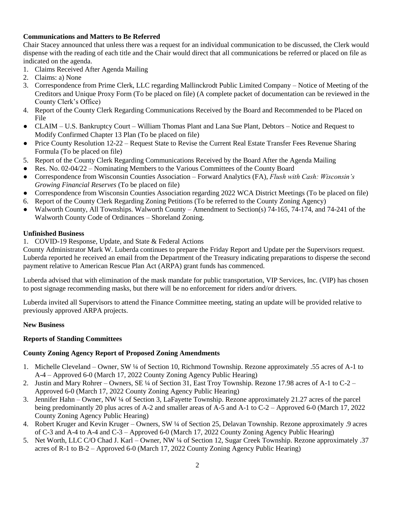## **Communications and Matters to Be Referred**

Chair Stacey announced that unless there was a request for an individual communication to be discussed, the Clerk would dispense with the reading of each title and the Chair would direct that all communications be referred or placed on file as indicated on the agenda.

- 1. Claims Received After Agenda Mailing
- 2. Claims: a) None
- 3. Correspondence from Prime Clerk, LLC regarding Mallinckrodt Public Limited Company Notice of Meeting of the Creditors and Unique Proxy Form (To be placed on file) (A complete packet of documentation can be reviewed in the County Clerk's Office)
- 4. Report of the County Clerk Regarding Communications Received by the Board and Recommended to be Placed on File
- CLAIM U.S. Bankruptcy Court William Thomas Plant and Lana Sue Plant, Debtors Notice and Request to Modify Confirmed Chapter 13 Plan (To be placed on file)
- Price County Resolution 12-22 Request State to Revise the Current Real Estate Transfer Fees Revenue Sharing Formula (To be placed on file)
- 5. Report of the County Clerk Regarding Communications Received by the Board After the Agenda Mailing
- Res. No. 02-04/22 Nominating Members to the Various Committees of the County Board
- Correspondence from Wisconsin Counties Association Forward Analytics (FA), *Flush with Cash: Wisconsin's Growing Financial Reserves* (To be placed on file)
- Correspondence from Wisconsin Counties Association regarding 2022 WCA District Meetings (To be placed on file)
- 6. Report of the County Clerk Regarding Zoning Petitions (To be referred to the County Zoning Agency)
- Walworth County, All Townships. Walworth County Amendment to Section(s) 74-165, 74-174, and 74-241 of the Walworth County Code of Ordinances – Shoreland Zoning.

#### **Unfinished Business**

1. COVID-19 Response, Update, and State & Federal Actions

County Administrator Mark W. Luberda continues to prepare the Friday Report and Update per the Supervisors request. Luberda reported he received an email from the Department of the Treasury indicating preparations to disperse the second payment relative to American Rescue Plan Act (ARPA) grant funds has commenced.

Luberda advised that with elimination of the mask mandate for public transportation, VIP Services, Inc. (VIP) has chosen to post signage recommending masks, but there will be no enforcement for riders and/or drivers.

Luberda invited all Supervisors to attend the Finance Committee meeting, stating an update will be provided relative to previously approved ARPA projects.

### **New Business**

### **Reports of Standing Committees**

### **County Zoning Agency Report of Proposed Zoning Amendments**

- 1. Michelle Cleveland Owner, SW ¼ of Section 10, Richmond Township. Rezone approximately .55 acres of A-1 to A-4 – Approved 6-0 (March 17, 2022 County Zoning Agency Public Hearing)
- 2. Justin and Mary Rohrer Owners, SE ¼ of Section 31, East Troy Township. Rezone 17.98 acres of A-1 to C-2 Approved 6-0 (March 17, 2022 County Zoning Agency Public Hearing)
- 3. Jennifer Hahn Owner, NW ¼ of Section 3, LaFayette Township. Rezone approximately 21.27 acres of the parcel being predominantly 20 plus acres of A-2 and smaller areas of A-5 and A-1 to C-2 – Approved 6-0 (March 17, 2022 County Zoning Agency Public Hearing)
- 4. Robert Kruger and Kevin Kruger Owners, SW ¼ of Section 25, Delavan Township. Rezone approximately .9 acres of C-3 and A-4 to A-4 and C-3 – Approved 6-0 (March 17, 2022 County Zoning Agency Public Hearing)
- 5. Net Worth, LLC C/O Chad J. Karl Owner, NW ¼ of Section 12, Sugar Creek Township. Rezone approximately .37 acres of R-1 to B-2 – Approved 6-0 (March 17, 2022 County Zoning Agency Public Hearing)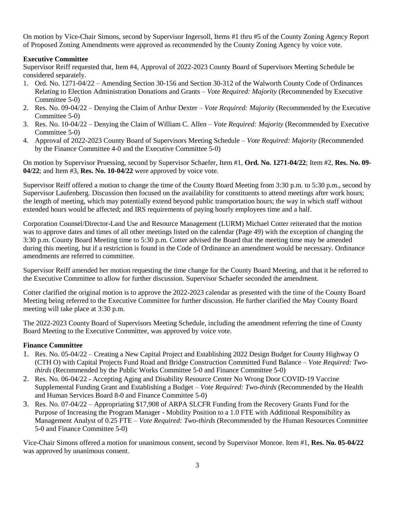On motion by Vice-Chair Simons, second by Supervisor Ingersoll, Items #1 thru #5 of the County Zoning Agency Report of Proposed Zoning Amendments were approved as recommended by the County Zoning Agency by voice vote.

## **Executive Committee**

Supervisor Reiff requested that, Item #4, Approval of 2022-2023 County Board of Supervisors Meeting Schedule be considered separately.

- 1. Ord. No. 1271-04/22 Amending Section 30-156 and Section 30-312 of the Walworth County Code of Ordinances Relating to Election Administration Donations and Grants – *Vote Required: Majority* (Recommended by Executive Committee 5-0)
- 2. Res. No. 09-04/22 Denying the Claim of Arthur Dexter *Vote Required: Majority* (Recommended by the Executive Committee 5-0)
- 3. Res. No. 10-04/22 Denying the Claim of William C. Allen *Vote Required: Majority* (Recommended by Executive Committee 5-0)
- 4. Approval of 2022-2023 County Board of Supervisors Meeting Schedule *Vote Required: Majority* (Recommended by the Finance Committee 4-0 and the Executive Committee 5-0)

On motion by Supervisor Pruessing, second by Supervisor Schaefer, Item #1, **Ord. No. 1271-04/22**; Item #2, **Res. No. 09- 04/22**; and Item #3, **Res. No. 10-04/22** were approved by voice vote.

Supervisor Reiff offered a motion to change the time of the County Board Meeting from 3:30 p.m. to 5:30 p.m., second by Supervisor Laufenberg. Discussion then focused on the availability for constituents to attend meetings after work hours; the length of meeting, which may potentially extend beyond public transportation hours; the way in which staff without extended hours would be affected; and IRS requirements of paying hourly employees time and a half.

Corporation Counsel/Director-Land Use and Resource Management (LURM) Michael Cotter reiterated that the motion was to approve dates and times of all other meetings listed on the calendar (Page 49) with the exception of changing the 3:30 p.m. County Board Meeting time to 5:30 p.m. Cotter advised the Board that the meeting time may be amended during this meeting, but if a restriction is found in the Code of Ordinance an amendment would be necessary. Ordinance amendments are referred to committee.

Supervisor Reiff amended her motion requesting the time change for the County Board Meeting, and that it be referred to the Executive Committee to allow for further discussion. Supervisor Schaefer seconded the amendment.

Cotter clarified the original motion is to approve the 2022-2023 calendar as presented with the time of the County Board Meeting being referred to the Executive Committee for further discussion. He further clarified the May County Board meeting will take place at 3:30 p.m.

The 2022-2023 County Board of Supervisors Meeting Schedule, including the amendment referring the time of County Board Meeting to the Executive Committee, was approved by voice vote.

# **Finance Committee**

- 1. Res. No. 05-04/22 Creating a New Capital Project and Establishing 2022 Design Budget for County Highway O (CTH O) with Capital Projects Fund Road and Bridge Construction Committed Fund Balance – *Vote Required: Twothirds* (Recommended by the Public Works Committee 5-0 and Finance Committee 5-0)
- 2. Res. No. 06-04/22 Accepting Aging and Disability Resource Center No Wrong Door COVID-19 Vaccine Supplemental Funding Grant and Establishing a Budget – *Vote Required: Two-thirds* (Recommended by the Health and Human Services Board 8-0 and Finance Committee 5-0)
- 3. Res. No. 07-04/22 Appropriating \$17,908 of ARPA SLCFR Funding from the Recovery Grants Fund for the Purpose of Increasing the Program Manager - Mobility Position to a 1.0 FTE with Additional Responsibility as Management Analyst of 0.25 FTE – *Vote Required: Two-thirds* (Recommended by the Human Resources Committee 5-0 and Finance Committee 5-0)

Vice-Chair Simons offered a motion for unanimous consent, second by Supervisor Monroe. Item #1, **Res. No. 05-04/22** was approved by unanimous consent.